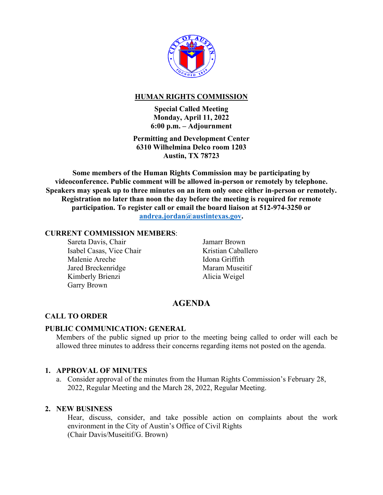

## **HUMAN RIGHTS COMMISSION**

**Special Called Meeting Monday, April 11, 2022 6:00 p.m. – Adjournment** 

**Permitting and Development Center 6310 Wilhelmina Delco room 1203 Austin, TX 78723** 

**Some members of the Human Rights Commission may be participating by videoconference. Public comment will be allowed in-person or remotely by telephone. Speakers may speak up to three minutes on an item only once either in-person or remotely. Registration no later than noon the day before the meeting is required for remote participation. To register call or email the board liaison at 512-974-3250 or andrea.jordan@austintexas.gov.** 

#### **CURRENT COMMISSION MEMBERS**:

Sareta Davis, Chair Isabel Casas, Vice Chair Malenie Areche Jared Breckenridge Kimberly Brienzi Garry Brown

Jamarr Brown Kristian Caballero Idona Griffith Maram Museitif Alicia Weigel

# **AGENDA**

## **CALL TO ORDER**

## **PUBLIC COMMUNICATION: GENERAL**

Members of the public signed up prior to the meeting being called to order will each be allowed three minutes to address their concerns regarding items not posted on the agenda.

## **1. APPROVAL OF MINUTES**

a. Consider approval of the minutes from the Human Rights Commission's February 28, 2022, Regular Meeting and the March 28, 2022, Regular Meeting.

## **2. NEW BUSINESS**

Hear, discuss, consider, and take possible action on complaints about the work environment in the City of Austin's Office of Civil Rights (Chair Davis/Museitif/G. Brown)